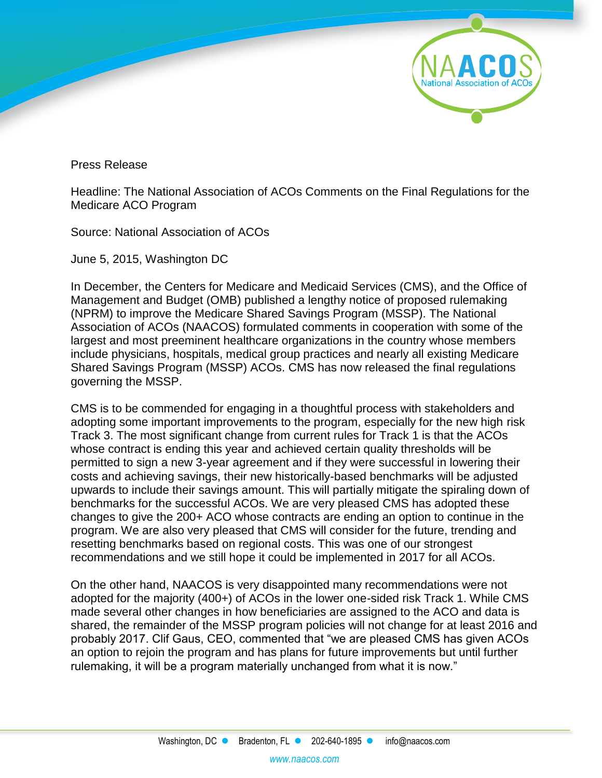

Press Release

Headline: The National Association of ACOs Comments on the Final Regulations for the Medicare ACO Program

Source: National Association of ACOs

June 5, 2015, Washington DC

In December, the Centers for Medicare and Medicaid Services (CMS), and the Office of Management and Budget (OMB) published a lengthy notice of proposed rulemaking (NPRM) to improve the Medicare Shared Savings Program (MSSP). The National Association of ACOs (NAACOS) formulated comments in cooperation with some of the largest and most preeminent healthcare organizations in the country whose members include physicians, hospitals, medical group practices and nearly all existing Medicare Shared Savings Program (MSSP) ACOs. CMS has now released the final regulations governing the MSSP.

CMS is to be commended for engaging in a thoughtful process with stakeholders and adopting some important improvements to the program, especially for the new high risk Track 3. The most significant change from current rules for Track 1 is that the ACOs whose contract is ending this year and achieved certain quality thresholds will be permitted to sign a new 3-year agreement and if they were successful in lowering their costs and achieving savings, their new historically-based benchmarks will be adjusted upwards to include their savings amount. This will partially mitigate the spiraling down of benchmarks for the successful ACOs. We are very pleased CMS has adopted these changes to give the 200+ ACO whose contracts are ending an option to continue in the program. We are also very pleased that CMS will consider for the future, trending and resetting benchmarks based on regional costs. This was one of our strongest recommendations and we still hope it could be implemented in 2017 for all ACOs.

On the other hand, NAACOS is very disappointed many recommendations were not adopted for the majority (400+) of ACOs in the lower one-sided risk Track 1. While CMS made several other changes in how beneficiaries are assigned to the ACO and data is shared, the remainder of the MSSP program policies will not change for at least 2016 and probably 2017. Clif Gaus, CEO, commented that "we are pleased CMS has given ACOs an option to rejoin the program and has plans for future improvements but until further rulemaking, it will be a program materially unchanged from what it is now."